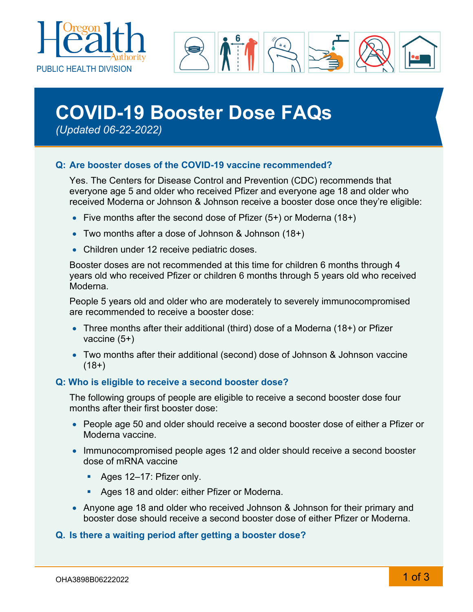



# **COVID-19 Booster Dose FAQs**

*(Updated 06-22-2022)*

# **Q: Are booster doses of the COVID-19 vaccine recommended?**

Yes. The Centers for Disease Control and Prevention (CDC) recommends that everyone age 5 and older who received Pfizer and everyone age 18 and older who received Moderna or Johnson & Johnson receive a booster dose once they're eligible:

- Five months after the second dose of Pfizer (5+) or Moderna (18+)
- Two months after a dose of Johnson & Johnson (18+)
- Children under 12 receive pediatric doses.

Booster doses are not recommended at this time for children 6 months through 4 years old who received Pfizer or children 6 months through 5 years old who received Moderna.

People 5 years old and older who are moderately to severely immunocompromised are recommended to receive a booster dose:

- Three months after their additional (third) dose of a Moderna (18+) or Pfizer vaccine (5+)
- Two months after their additional (second) dose of Johnson & Johnson vaccine  $(18+)$

# **Q: Who is eligible to receive a second booster dose?**

The following groups of people are eligible to receive a second booster dose four months after their first booster dose:

- People age 50 and older should receive a second booster dose of either a Pfizer or Moderna vaccine.
- Immunocompromised people ages 12 and older should receive a second booster dose of mRNA vaccine
	- Ages 12-17: Pfizer only.
	- **Ages 18 and older: either Pfizer or Moderna.**
- Anyone age 18 and older who received Johnson & Johnson for their primary and booster dose should receive a second booster dose of either Pfizer or Moderna.

# **Q. Is there a waiting period after getting a booster dose?**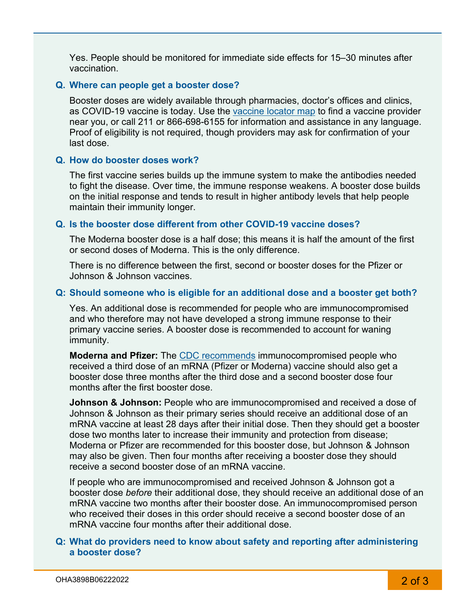Yes. People should be monitored for immediate side effects for 15–30 minutes after vaccination.

#### **Q. Where can people get a booster dose?**

Booster doses are widely available through pharmacies, doctor's offices and clinics, as COVID-19 vaccine is today. Use the [vaccine locator map](https://getvaccinated.oregon.gov/#/locator?lang=en) to find a vaccine provider near you, or call 211 or 866-698-6155 for information and assistance in any language. Proof of eligibility is not required, though providers may ask for confirmation of your last dose.

#### **Q. How do booster doses work?**

The first vaccine series builds up the immune system to make the antibodies needed to fight the disease. Over time, the immune response weakens. A booster dose builds on the initial response and tends to result in higher antibody levels that help people maintain their immunity longer.

#### **Q. Is the booster dose different from other COVID-19 vaccine doses?**

The Moderna booster dose is a half dose; this means it is half the amount of the first or second doses of Moderna. This is the only difference.

There is no difference between the first, second or booster doses for the Pfizer or Johnson & Johnson vaccines.

### **Q: Should someone who is eligible for an additional dose and a booster get both?**

Yes. An additional dose is recommended for people who are immunocompromised and who therefore may not have developed a strong immune response to their primary vaccine series. A booster dose is recommended to account for waning immunity.

**Moderna and Pfizer:** The [CDC recommends](http://www.cdc.gov/coronavirus/2019-ncov/vaccines/recommendations/immuno.html) immunocompromised people who received a third dose of an mRNA (Pfizer or Moderna) vaccine should also get a booster dose three months after the third dose and a second booster dose four months after the first booster dose.

**Johnson & Johnson:** People who are immunocompromised and received a dose of Johnson & Johnson as their primary series should receive an additional dose of an mRNA vaccine at least 28 days after their initial dose. Then they should get a booster dose two months later to increase their immunity and protection from disease; Moderna or Pfizer are recommended for this booster dose, but Johnson & Johnson may also be given. Then four months after receiving a booster dose they should receive a second booster dose of an mRNA vaccine.

If people who are immunocompromised and received Johnson & Johnson got a booster dose *before* their additional dose, they should receive an additional dose of an mRNA vaccine two months after their booster dose. An immunocompromised person who received their doses in this order should receive a second booster dose of an mRNA vaccine four months after their additional dose.

### **Q: What do providers need to know about safety and reporting after administering a booster dose?**